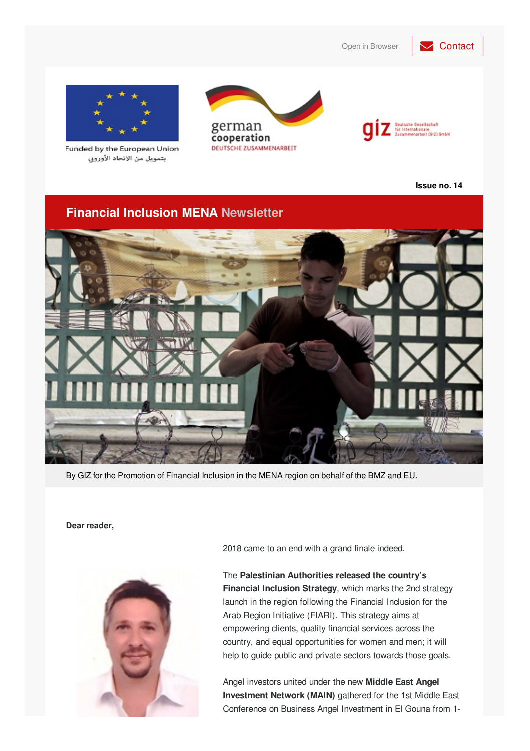### Open in [Browser](https://login.mailingwork.de/email/testPreview/simulateMailingFunction/5661) **[Contact](mailto: financialinclusion-mena@giz.de?subject=Newsletter feedback)**



Funded by the European Union بتمويل من الاتحاد الأوروبي





**Issue no. 14**

### **Financial Inclusion MENA Newsletter**



By GIZ for the Promotion of Financial Inclusion in the MENA region on behalf of the BMZ and EU.

#### **Dear reader,**



2018 came to an end with a grand finale indeed.

The **Palestinian Authorities released the country's Financial Inclusion Strategy**, which marks the 2nd strategy launch in the region following the Financial Inclusion for the Arab Region Initiative (FIARI). This strategy aims at empowering clients, quality financial services across the country, and equal opportunities for women and men; it will help to guide public and private sectors towards those goals.

Angel investors united under the new **Middle East Angel Investment Network (MAIN)** gathered for the 1st Middle East Conference on Business Angel Investment in El Gouna from 1-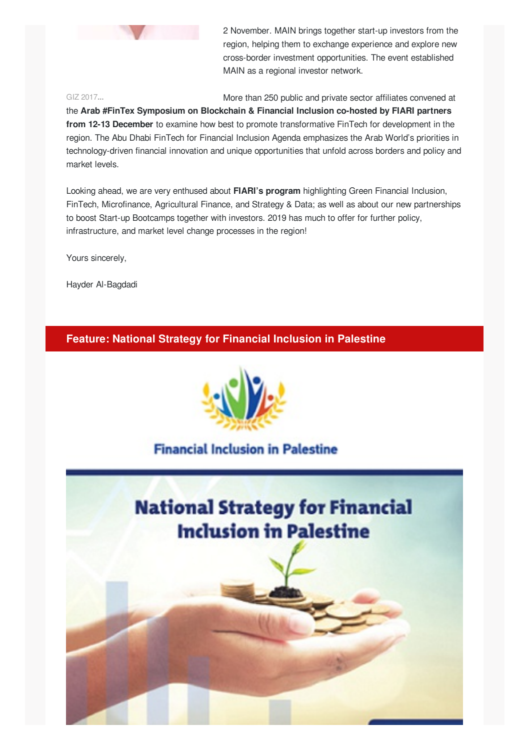

2 November. MAIN brings together start-up investors from the region, helping them to exchange experience and explore new cross-border investment opportunities. The event established MAIN as a regional investor network.

#### GIZ 2017**...**

More than 250 public and private sector affiliates convened at

the **Arab #FinTex Symposium on Blockchain & Financial Inclusion co-hosted by FIARI partners from 12-13 December** to examine how best to promote transformative FinTech for development in the region. The Abu Dhabi FinTech for Financial Inclusion Agenda emphasizes the Arab World's priorities in technology-driven financial innovation and unique opportunities that unfold across borders and policy and market levels.

Looking ahead, we are very enthused about **FIARI's program** highlighting Green Financial Inclusion, FinTech, Microfinance, Agricultural Finance, and Strategy & Data; as well as about our new partnerships to boost Start-up Bootcamps together with investors. 2019 has much to offer for further policy, infrastructure, and market level change processes in the region!

Yours sincerely,

Hayder Al-Bagdadi

**Feature: National Strategy for Financial Inclusion in Palestine**



# **Financial Inclusion in Palestine**

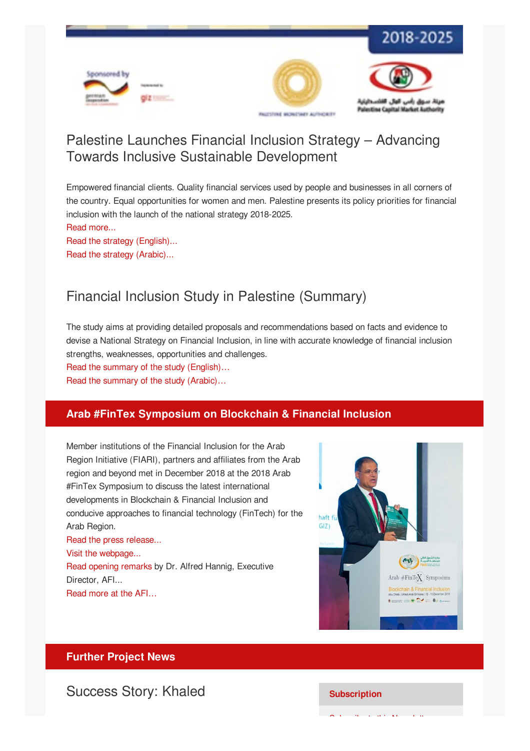

# Palestine Launches Financial Inclusion Strategy – Advancing Towards Inclusive Sustainable Development

Empowered financial clients. Quality financial services used by people and businesses in all corners of the country. Equal opportunities for women and men. Palestine presents its policy priorities for financial inclusion with the launch of the national strategy 2018-2025.

Read [more...](http://microfinance-mena.org/news/palestine-launches-financial-inclusion-strategy-advancing-towards-inclusive-sustainable-development/)

Read the strategy [\(English\)...](http://microfinance-mena.org/wp-content/uploads/2019/01/NFIS_en_layouted.pdf) Read the strategy [\(Arabic\)...](http://www.pma.ps/Portals/1/Users/002/02/2/Publications/Financial Inclusion publication/National Financial Inclusion Strategy NFIS.pdf)

# Financial Inclusion Study in Palestine (Summary)

The study aims at providing detailed proposals and recommendations based on facts and evidence to devise a National Strategy on Financial Inclusion, in line with accurate knowledge of financial inclusion strengths, weaknesses, opportunities and challenges.

Read the summary of the study [\(English\)…](http://microfinance-mena.org/wp-content/uploads/2019/01/FI-Study-Summary_en-1.pdf) Read the summary of the study [\(Arabic\)…](http://www.pma.ps/Portals/1/Users/002/02/2/Publications/Financial Inclusion publication/Summary of Financial Inclusion Study.pdf)

### **Arab #FinTex Symposium on Blockchain & Financial Inclusion**

Member institutions of the Financial Inclusion for the Arab Region Initiative (FIARI), partners and affiliates from the Arab region and beyond met in December 2018 at the 2018 Arab #FinTex Symposium to discuss the latest international developments in Blockchain & Financial Inclusion and conducive approaches to financial technology (FinTech) for the Arab Region. Read the press [release...](http://microfinance-mena.org/news/arab-fintex-symposium-blockchain-technology-financial-inclusion/) Visit the [webpage...](http://www.fiari.org/arabfintex/) Read [opening](https://www.afi-global.org/speeches/2018/12/arab-fintex-symposium-opening-remarks-afi-executive-director-dr-alfred-hannig) remarks by Dr. Alfred Hannig, Executive Director, AFI...





### **Further Project News**

### **Success Story: Khaled Subscription**

Subscribe to the Newsletter<br>Newsletter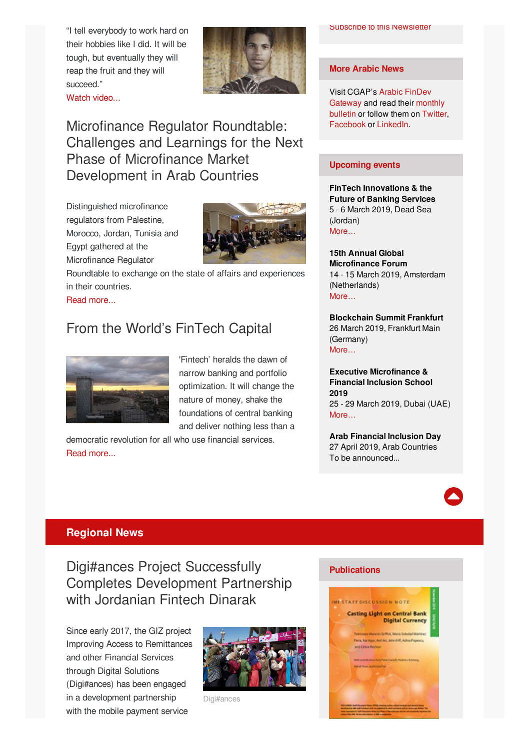"I tell everybody to work hard on their hobbies like I did. It will be tough, but eventually they will reap the fruit and they will succeed."



Microfinance Regulator Roundtable: Challenges and Learnings for the Next Phase of Microfinance Market Development in Arab Countries

Distinguished microfinance regulators from Palestine, Morocco, Jordan, Tunisia and Egypt gathered at the Microfinance Regulator



Roundtable to exchange on the state of affairs and experiences in their countries.

Read [more...](http://microfinance-mena.org/news/microfinance-regulator-roundtable-challenges-learnings-next-phase-microfinance-market-development-arab-countries/)

# From the World's FinTech Capital



'Fintech' heralds the dawn of narrow banking and portfolio optimization. It will change the nature of money, shake the foundations of central banking and deliver nothing less than a

democratic revolution for all who use financial services. Read [more...](http://microfinance-mena.org/news/worlds-fintech-capital/)

#### Subscribe to this [Newsletter](mailto:financialinclusion-mena@giz.de?cc=alaa.alhyari@giz.de&subject=Newsletter subscription&body=Dear GIZ team, I would like to subscribe to your newsletter.)

#### **More Arabic News**

Visit [CGAP's](http://findevgateway.org/ar) Arabic FinDev [Gateway](http://www.findevgateway.org/ar/bulletin) and read their monthly bulletin or follow them on [Twitter](http://twitter.com/ArabicFinDev), [Facebook](http://www.facebook.com/ArabicFinDevGateway) or [LinkedIn](http://www.linkedin.com/in/arabicfindevgateway).

#### **Upcoming events**

**FinTech Innovations & the Future of Banking Services** 5 - 6 March 2019, Dead Sea (Jordan) [More…](http://www.uabonline.org/en/events/conferences/fintechinnovationsthefutureofbankingservices/60080/0)

**15th Annual Global Microfinance Forum** 14 - 15 March 2019, Amsterdam (Netherlands) [More…](https://www.uni-global.eu/portfolio-page/15th-annual-global-microfinance-forum/)

**Blockchain Summit Frankfurt** 26 March 2019, Frankfurt Main (Germany) [More…](https://www.blockchainsummitfrankfurt.com/)

**Executive Microfinance & Financial Inclusion School 2019** 25 - 29 March 2019, Dubai (UAE) [More…](https://www.findevgateway.org/sites/default/files/event_files/executive_microfinance_financial_inclusion_school_2019.pdf)

**Arab Financial Inclusion Day** 27 April 2019, Arab Countries To be announced...



### **Regional News**

Digi#ances Project Successfully Completes Development Partnership with Jordanian Fintech Dinarak

Since early 2017, the GIZ project Improving Access to Remittances and other Financial Services through Digital Solutions (Digi#ances) has been engaged in a development partnership with the mobile payment service



Digi#ances

#### **Publications**

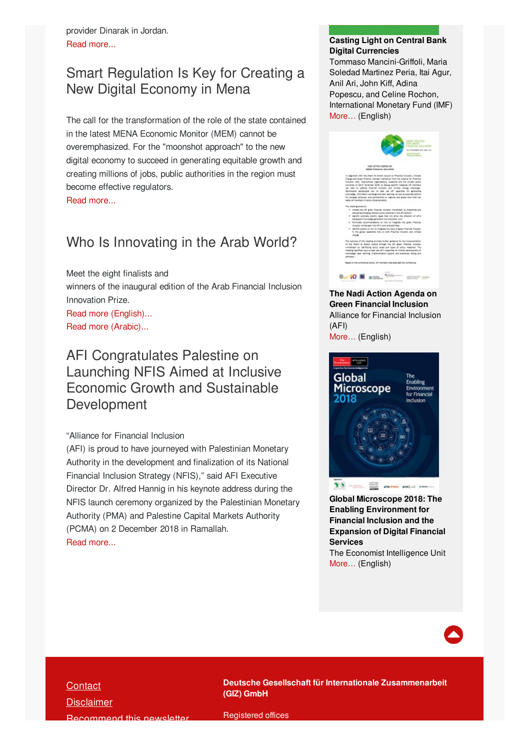provider Dinarak in Jordan. Read [more...](http://microfinance-mena.org/news/digiances-project-successfully-completes-development-partnership-jordanian-fintech-dinarak/)

# Smart Regulation Is Key for Creating a New Digital Economy in Mena

The call for the transformation of the role of the state contained in the latest MENA Economic Monitor (MEM) cannot be overemphasized. For the "moonshot approach" to the new digital economy to succeed in generating equitable growth and creating millions of jobs, public authorities in the region must become effective regulators.

#### Read [more...](https://blogs.worldbank.org/arabvoices/smart-regulation-key-creating-new-digital-economy-mena)

# Who Is Innovating in the Arab World?

Meet the eight finalists and winners of the inaugural edition of the Arab Financial Inclusion Innovation Prize. Read more [\(English\)...](http://findevgateway.org/blog/2018/dec/who-innovating-arab-world)

Read more [\(Arabic\)...](https://www.findevgateway.org/ar/blog/2018/??????-?????-??????/????-??????-??????-??????-??????-??-??????-??????)

# AFI Congratulates Palestine on Launching NFIS Aimed at Inclusive Economic Growth and Sustainable Development

#### "Alliance for Financial Inclusion

(AFI) is proud to have journeyed with Palestinian Monetary Authority in the development and finalization of its National Financial Inclusion Strategy (NFIS)," said AFI Executive Director Dr. Alfred Hannig in his keynote address during the NFIS launch ceremony organized by the Palestinian Monetary Authority (PMA) and Palestine Capital Markets Authority (PCMA) on 2 December 2018 in Ramallah. Read [more...](https://www.afi-global.org/news/2018/12/afi-congratulates-palestine-launching-nfis-aimed-inclusive-economic-growth-and)

### **Casting Light on Central Bank Digital Currencies**

Tommaso Mancini-Griffoli, Maria Soledad Martinez Peria, Itai Agur, Anil Ari, John Kiff, Adina Popescu, and Celine Rochon, International Monetary Fund (IMF) [More…](https://www.imf.org/en/Publications/Staff-Discussion-Notes/Issues/2018/11/13/Casting-Light-on-Central-Bank-Digital-Currencies-46233) (English)



#### **The Nadi Action Agenda on Green Financial Inclusion** Alliance for Financial Inclusion (AFI) [More…](https://www.afi-global.org/sites/default/files/news/Nadi Action Agenda 2018.pdf) (English)



 $28 - 24$ month<br>that control codiat swee

**Global Microscope 2018: The Enabling Environment for Financial Inclusion and the Expansion of Digital Financial Services** The Economist Intelligence Unit

[More…](https://content.centerforfinancialinclusion.org/wp-content/uploads/sites/2/2018/11/EIU_Microscope_2018_PROOF_10.pdf) (English)



### **[Contact](mailto: financialinclusion-mena@giz.de?subject=Newsletter feedback)**

**[Disclaimer](https://www.giz.de/de/newsletter/37575.html)** [Recommend](https://login.mailingwork.de/email/testPreview/simulateMailingFunction/5661) this newsletter

**Deutsche Gesellschaft für Internationale Zusammenarbeit (GIZ) GmbH**

Registered offices